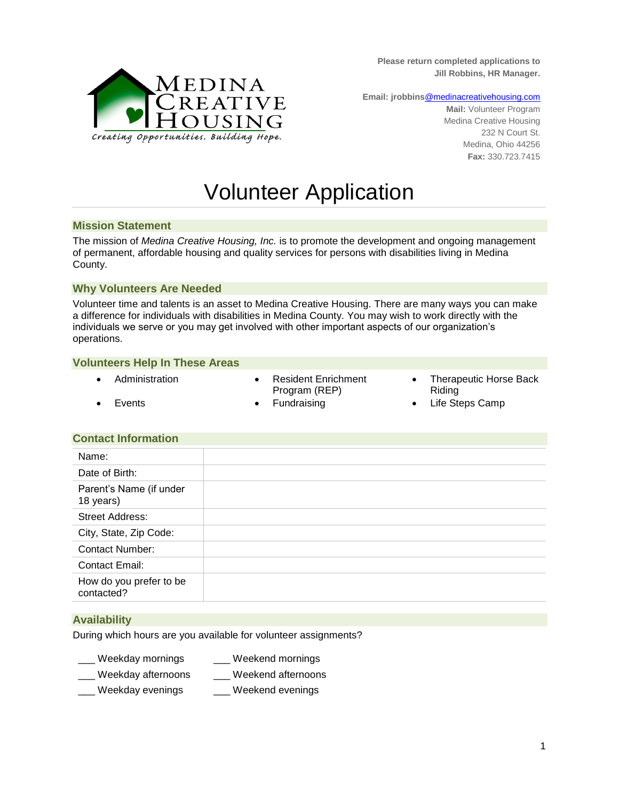**Please return completed applications to Jill Robbins, HR Manager.**



**Email: jrobbins**[@medinacreativehousing.com](mailto:megan@medinacreativehousing.com)

**Mail:** Volunteer Program Medina Creative Housing 232 N Court St. Medina, Ohio 44256 **Fax:** 330.723.7415

# Volunteer Application

#### **Mission Statement**

The mission of *Medina Creative Housing, Inc.* is to promote the development and ongoing management of permanent, affordable housing and quality services for persons with disabilities living in Medina County.

#### **Why Volunteers Are Needed**

Volunteer time and talents is an asset to Medina Creative Housing. There are many ways you can make a difference for individuals with disabilities in Medina County. You may wish to work directly with the individuals we serve or you may get involved with other important aspects of our organization's operations.

#### **Volunteers Help In These Areas**

- 
- Administration **CONTENT CONTENT CONTENT** Resident Enrichment Program (REP)
- Therapeutic Horse Back Riding
- Events **Constant Constant Constant Constant Constant Constant Constant Constant Constant Constant Constant Constant Constant Constant Constant Constant Constant Constant Constant Constant Constant Constant Constant Constan**

#### **Contact Information**

### **Availability**

During which hours are you available for volunteer assignments?

- Weekday mornings exactle Weekend mornings
- Weekday afternoons **Weekend afternoons**
- \_\_\_ Weekday evenings \_\_\_ Weekend evenings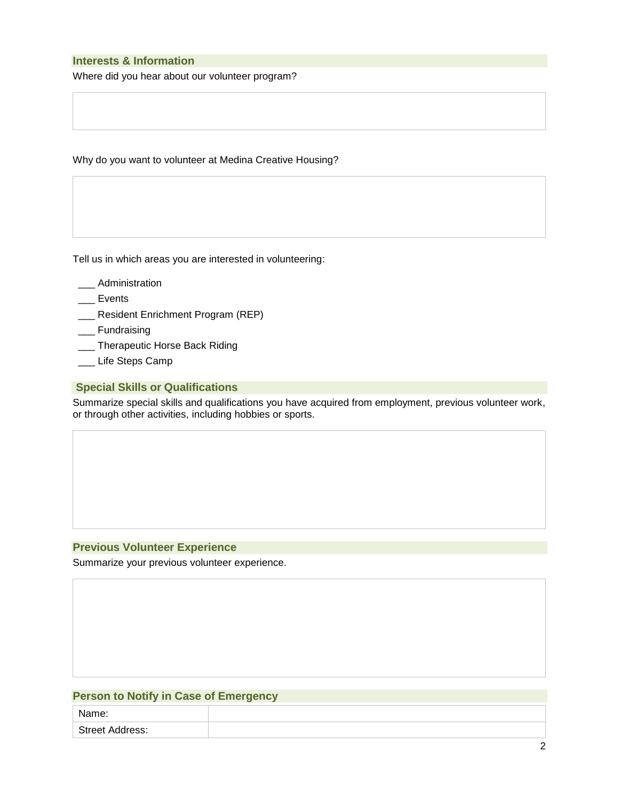## **Interests & Information**

Where did you hear about our volunteer program?

Why do you want to volunteer at Medina Creative Housing?

Tell us in which areas you are interested in volunteering:

- \_\_\_ Administration
- \_\_\_ Events
- \_\_\_ Resident Enrichment Program (REP)
- \_\_\_ Fundraising
- \_\_\_ Therapeutic Horse Back Riding
- \_\_\_ Life Steps Camp

#### **Special Skills or Qualifications**

Summarize special skills and qualifications you have acquired from employment, previous volunteer work, or through other activities, including hobbies or sports.

## **Previous Volunteer Experience**

Summarize your previous volunteer experience.

## **Person to Notify in Case of Emergency**

| Name:                  |  |
|------------------------|--|
| <b>Street Address:</b> |  |